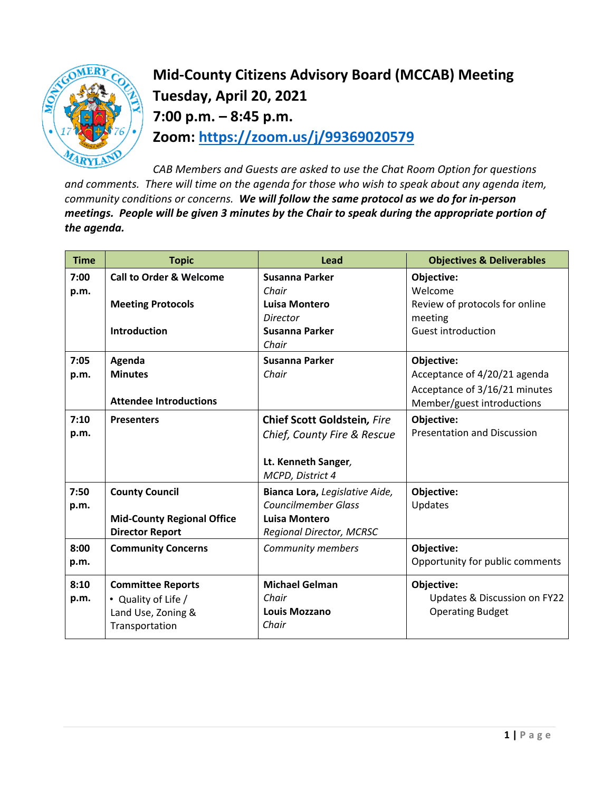

**Mid-County Citizens Advisory Board (MCCAB) Meeting Tuesday, April 20, 2021 7:00 p.m. – 8:45 p.m. Zoom: <https://zoom.us/j/99369020579>**

*CAB Members and Guests are asked to use the Chat Room Option for questions and comments. There will time on the agenda for those who wish to speak about any agenda item, community conditions or concerns. We will follow the same protocol as we do for in-person meetings. People will be given 3 minutes by the Chair to speak during the appropriate portion of the agenda.* 

| <b>Time</b> | <b>Topic</b>                       | Lead                            | <b>Objectives &amp; Deliverables</b> |
|-------------|------------------------------------|---------------------------------|--------------------------------------|
| 7:00        | <b>Call to Order &amp; Welcome</b> | Susanna Parker                  | Objective:                           |
| p.m.        |                                    | Chair                           | Welcome                              |
|             | <b>Meeting Protocols</b>           | Luisa Montero                   | Review of protocols for online       |
|             |                                    | <b>Director</b>                 | meeting                              |
|             | <b>Introduction</b>                | Susanna Parker                  | <b>Guest introduction</b>            |
|             |                                    | Chair                           |                                      |
| 7:05        | Agenda                             | Susanna Parker                  | Objective:                           |
| p.m.        | <b>Minutes</b>                     | Chair                           | Acceptance of 4/20/21 agenda         |
|             |                                    |                                 | Acceptance of 3/16/21 minutes        |
|             | <b>Attendee Introductions</b>      |                                 | Member/guest introductions           |
| 7:10        | <b>Presenters</b>                  | Chief Scott Goldstein, Fire     | Objective:                           |
| p.m.        |                                    | Chief, County Fire & Rescue     | <b>Presentation and Discussion</b>   |
|             |                                    |                                 |                                      |
|             |                                    | Lt. Kenneth Sanger,             |                                      |
|             |                                    | MCPD, District 4                |                                      |
| 7:50        | <b>County Council</b>              | Bianca Lora, Legislative Aide,  | Objective:                           |
| p.m.        |                                    | <b>Councilmember Glass</b>      | Updates                              |
|             | <b>Mid-County Regional Office</b>  | <b>Luisa Montero</b>            |                                      |
|             | <b>Director Report</b>             | <b>Regional Director, MCRSC</b> |                                      |
| 8:00        | <b>Community Concerns</b>          | Community members               | Objective:                           |
| p.m.        |                                    |                                 | Opportunity for public comments      |
|             |                                    |                                 |                                      |
| 8:10        | <b>Committee Reports</b>           | <b>Michael Gelman</b>           | <b>Objective:</b>                    |
| p.m.        | • Quality of Life /                | Chair                           | Updates & Discussion on FY22         |
|             | Land Use, Zoning &                 | <b>Louis Mozzano</b>            | <b>Operating Budget</b>              |
|             | Transportation                     | Chair                           |                                      |